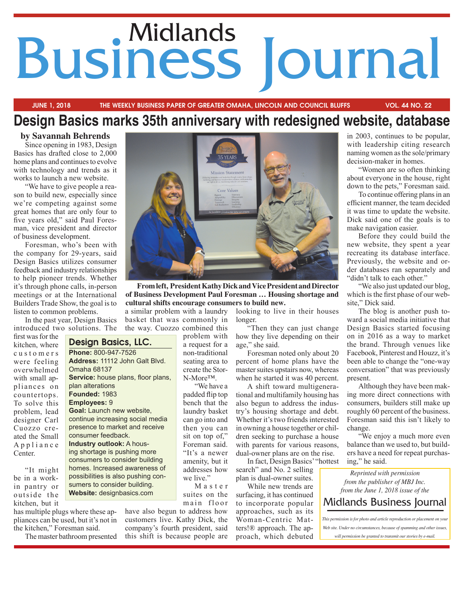# **Business Journal**

## **JUNE 1, 2018 THE WEEKLY BUSINESS PAPER OF GREATER OMAHA, LINCOLN AND COUNCIL BLUFFS VOL. 44 NO. 22**

# **Design Basics marks 35th anniversary with redesigned website, database**

**by Savannah Behrends**  Since opening in 1983, Design Basics has drafted close to 2,000 home plans and continues to evolve with technology and trends as it works to launch a new website.

"We have to give people a reason to build new, especially since we're competing against some great homes that are only four to five years old," said Paul Foresman, vice president and director of business development.

Foresman, who's been with the company for 29-years, said Design Basics utilizes consumer feedback and industry relationships to help pioneer trends. Whether it's through phone calls, in-person meetings or at the International Builders Trade Show, the goal is to listen to common problems.

In the past year, Design Basics introduced two solutions. The

> **Design Basics, LLC. Phone:** 800-947-7526

**Goal:** Launch new website, continue increasing social media presence to market and receive

consumer feedback. **Industry outlook:** A housing shortage is pushing more consumers to consider building homes. Increased awareness of possibilities is also pushing consumers to consider building. **Website:** designbasics.com

Omaha 68137

plan alterations **Founded:** 1983 **Employees:** 9

**Address:** 11112 John Galt Blvd.

**Service:** house plans, floor plans,

first was for the kitchen, where c u s t o m e r s were feeling overwhelmed with small appliances on countertops. To solve this problem, lead designer Carl Cuozzo created the Small A p p l i a n c e Center.

"It might be in a workin pantry or outside the kitchen, but it

has multiple plugs where these appliances can be used, but it's not in the kitchen," Foresman said.

The master bathroom presented



**From left, President Kathy Dick and Vice President and Director of Business Development Paul Foresman … Housing shortage and cultural shifts encourage consumers to build new.** 

a similar problem with a laundry basket that was commonly in the way. Cuozzo combined this

problem with a request for a non-traditional seating area to create the Stor-N-More™.

"We have a padded flip top bench that the laundry basket can go into and then you can sit on top of," Foreman said. "It's a newer amenity, but it addresses how we live."

M a s t e r suites on the main floor

have also begun to address how customers live. Kathy Dick, the company's fourth president, said this shift is because people are looking to live in their houses longer.

"Then they can just change how they live depending on their age," she said.

Foresman noted only about 20 percent of home plans have the master suites upstairs now, whereas when he started it was 40 percent.

A shift toward multigenerational and multifamily housing has also begun to address the industry's housing shortage and debt. Whether it's two friends interested in owning a house together or children seeking to purchase a house with parents for various reasons, dual-owner plans are on the rise.

In fact, Design Basics' "hottest search" and No. 2 selling plan is dual-owner suites.

While new trends are surfacing, it has continued to incorporate popular approaches, such as its Woman-Centric Matters!® approach. The approach, which debuted

in 2003, continues to be popular, with leadership citing research naming women as the sole/primary decision-maker in homes.

"Women are so often thinking about everyone in the house, right down to the pets," Foresman said.

To continue offering plans in an efficient manner, the team decided it was time to update the website. Dick said one of the goals is to make navigation easier.

Before they could build the new website, they spent a year recreating its database interface. Previously, the website and order databases ran separately and "didn't talk to each other."

"We also just updated our blog, which is the first phase of our website," Dick said.

The blog is another push toward a social media initiative that Design Basics started focusing on in 2016 as a way to market the brand. Through venues like Facebook, Pinterest and Houzz, it's been able to change the "one-way conversation" that was previously present.

Although they have been making more direct connections with consumers, builders still make up roughly 60 percent of the business. Foresman said this isn't likely to change.

"We enjoy a much more even balance than we used to, but builders have a need for repeat purchasing," he said.

*Reprinted with permission from the publisher of MBJ Inc. from the June 1, 2018 issue of the*

# Midlands Business Journal

*This permission is for photo and article reproduction or placement on your*

*Web site. Under no circumstances, because of spamming and other issues, will permission be granted to transmit our stories by e-mail.*